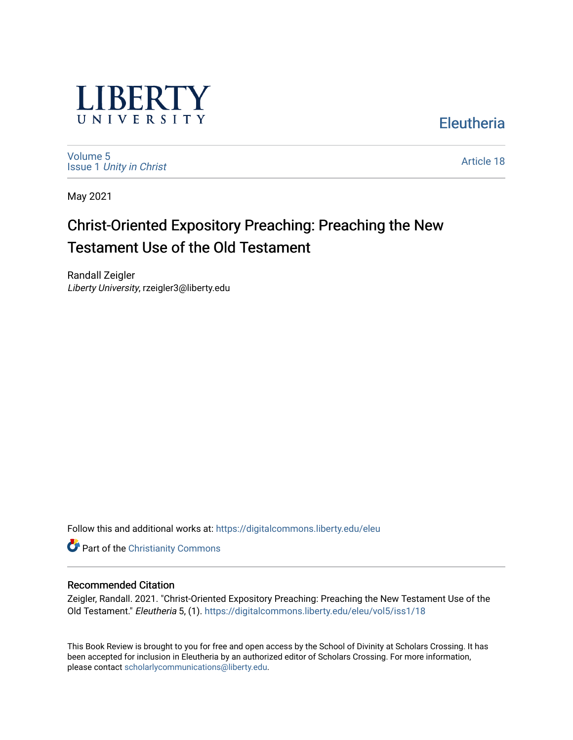

[Volume 5](https://digitalcommons.liberty.edu/eleu/vol5) Issue 1 [Unity in Christ](https://digitalcommons.liberty.edu/eleu/vol5/iss1)  [Article 18](https://digitalcommons.liberty.edu/eleu/vol5/iss1/18) 

**Eleutheria** 

May 2021

# Christ-Oriented Expository Preaching: Preaching the New Testament Use of the Old Testament

Randall Zeigler Liberty University, rzeigler3@liberty.edu

Follow this and additional works at: [https://digitalcommons.liberty.edu/eleu](https://digitalcommons.liberty.edu/eleu?utm_source=digitalcommons.liberty.edu%2Feleu%2Fvol5%2Fiss1%2F18&utm_medium=PDF&utm_campaign=PDFCoverPages) 

**Part of the Christianity Commons** 

### Recommended Citation

Zeigler, Randall. 2021. "Christ-Oriented Expository Preaching: Preaching the New Testament Use of the Old Testament." Eleutheria 5, (1). [https://digitalcommons.liberty.edu/eleu/vol5/iss1/18](https://digitalcommons.liberty.edu/eleu/vol5/iss1/18?utm_source=digitalcommons.liberty.edu%2Feleu%2Fvol5%2Fiss1%2F18&utm_medium=PDF&utm_campaign=PDFCoverPages) 

This Book Review is brought to you for free and open access by the School of Divinity at Scholars Crossing. It has been accepted for inclusion in Eleutheria by an authorized editor of Scholars Crossing. For more information, please contact [scholarlycommunications@liberty.edu.](mailto:scholarlycommunications@liberty.edu)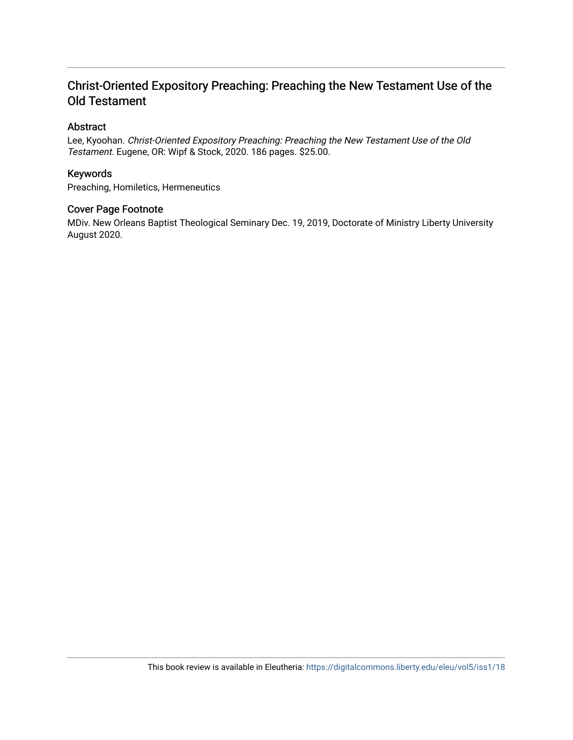# Christ-Oriented Expository Preaching: Preaching the New Testament Use of the Old Testament

# Abstract

Lee, Kyoohan. Christ-Oriented Expository Preaching: Preaching the New Testament Use of the Old Testament. Eugene, OR: Wipf & Stock, 2020. 186 pages. \$25.00.

## Keywords

Preaching, Homiletics, Hermeneutics

### Cover Page Footnote

MDiv. New Orleans Baptist Theological Seminary Dec. 19, 2019, Doctorate of Ministry Liberty University August 2020.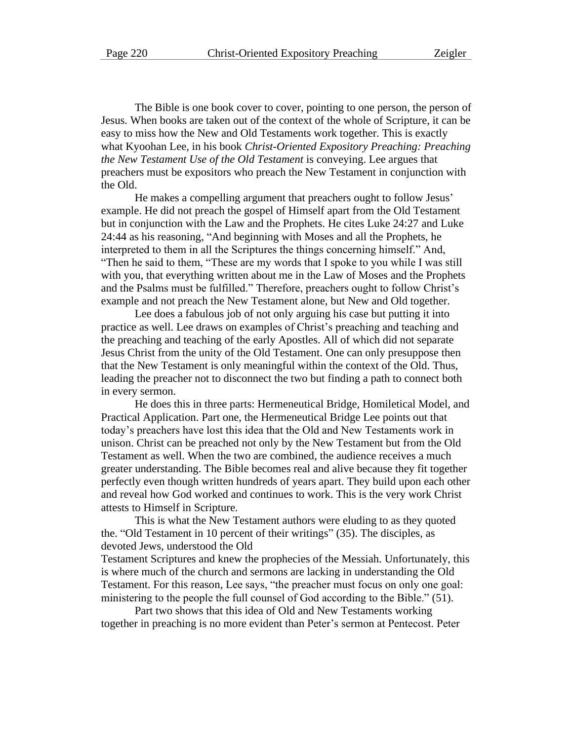The Bible is one book cover to cover, pointing to one person, the person of Jesus. When books are taken out of the context of the whole of Scripture, it can be easy to miss how the New and Old Testaments work together. This is exactly what Kyoohan Lee, in his book *Christ-Oriented Expository Preaching: Preaching the New Testament Use of the Old Testament* is conveying. Lee argues that preachers must be expositors who preach the New Testament in conjunction with the Old.

He makes a compelling argument that preachers ought to follow Jesus' example. He did not preach the gospel of Himself apart from the Old Testament but in conjunction with the Law and the Prophets. He cites Luke 24:27 and Luke 24:44 as his reasoning, "And beginning with Moses and all the Prophets, he interpreted to them in all the Scriptures the things concerning himself." And, "Then he said to them, "These are my words that I spoke to you while I was still with you, that everything written about me in the Law of Moses and the Prophets and the Psalms must be fulfilled." Therefore, preachers ought to follow Christ's example and not preach the New Testament alone, but New and Old together.

Lee does a fabulous job of not only arguing his case but putting it into practice as well. Lee draws on examples of Christ's preaching and teaching and the preaching and teaching of the early Apostles. All of which did not separate Jesus Christ from the unity of the Old Testament. One can only presuppose then that the New Testament is only meaningful within the context of the Old. Thus, leading the preacher not to disconnect the two but finding a path to connect both in every sermon.

He does this in three parts: Hermeneutical Bridge, Homiletical Model, and Practical Application. Part one, the Hermeneutical Bridge Lee points out that today's preachers have lost this idea that the Old and New Testaments work in unison. Christ can be preached not only by the New Testament but from the Old Testament as well. When the two are combined, the audience receives a much greater understanding. The Bible becomes real and alive because they fit together perfectly even though written hundreds of years apart. They build upon each other and reveal how God worked and continues to work. This is the very work Christ attests to Himself in Scripture.

This is what the New Testament authors were eluding to as they quoted the. "Old Testament in 10 percent of their writings" (35). The disciples, as devoted Jews, understood the Old

Testament Scriptures and knew the prophecies of the Messiah. Unfortunately, this is where much of the church and sermons are lacking in understanding the Old Testament. For this reason, Lee says, "the preacher must focus on only one goal: ministering to the people the full counsel of God according to the Bible." (51).

Part two shows that this idea of Old and New Testaments working together in preaching is no more evident than Peter's sermon at Pentecost. Peter